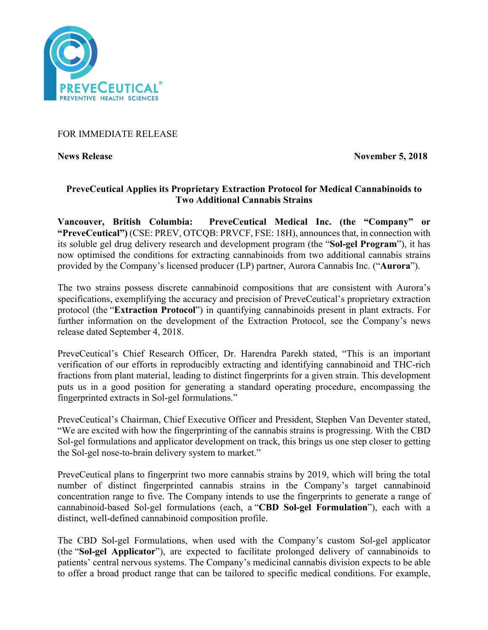

## FOR IMMEDIATE RELEASE

**News Release November 5, 2018** 

# **PreveCeutical Applies its Proprietary Extraction Protocol for Medical Cannabinoids to Two Additional Cannabis Strains**

**Vancouver, British Columbia: PreveCeutical Medical Inc. (the "Company" or "PreveCeutical")** (CSE: PREV, OTCQB: PRVCF, FSE: 18H), announces that, in connection with its soluble gel drug delivery research and development program (the "**Sol-gel Program**"), it has now optimised the conditions for extracting cannabinoids from two additional cannabis strains provided by the Company's licensed producer (LP) partner, Aurora Cannabis Inc. ("**Aurora**").

The two strains possess discrete cannabinoid compositions that are consistent with Aurora's specifications, exemplifying the accuracy and precision of PreveCeutical's proprietary extraction protocol (the "**Extraction Protocol**") in quantifying cannabinoids present in plant extracts. For further information on the development of the Extraction Protocol, see the Company's news release dated September 4, 2018.

PreveCeutical's Chief Research Officer, Dr. Harendra Parekh stated, "This is an important verification of our efforts in reproducibly extracting and identifying cannabinoid and THC-rich fractions from plant material, leading to distinct fingerprints for a given strain. This development puts us in a good position for generating a standard operating procedure, encompassing the fingerprinted extracts in Sol-gel formulations."

PreveCeutical's Chairman, Chief Executive Officer and President, Stephen Van Deventer stated, "We are excited with how the fingerprinting of the cannabis strains is progressing. With the CBD Sol-gel formulations and applicator development on track, this brings us one step closer to getting the Sol-gel nose-to-brain delivery system to market."

PreveCeutical plans to fingerprint two more cannabis strains by 2019, which will bring the total number of distinct fingerprinted cannabis strains in the Company's target cannabinoid concentration range to five. The Company intends to use the fingerprints to generate a range of cannabinoid-based Sol-gel formulations (each, a "**CBD Sol-gel Formulation**"), each with a distinct, well-defined cannabinoid composition profile.

The CBD Sol-gel Formulations, when used with the Company's custom Sol-gel applicator (the "**Sol-gel Applicator**"), are expected to facilitate prolonged delivery of cannabinoids to patients' central nervous systems. The Company's medicinal cannabis division expects to be able to offer a broad product range that can be tailored to specific medical conditions. For example,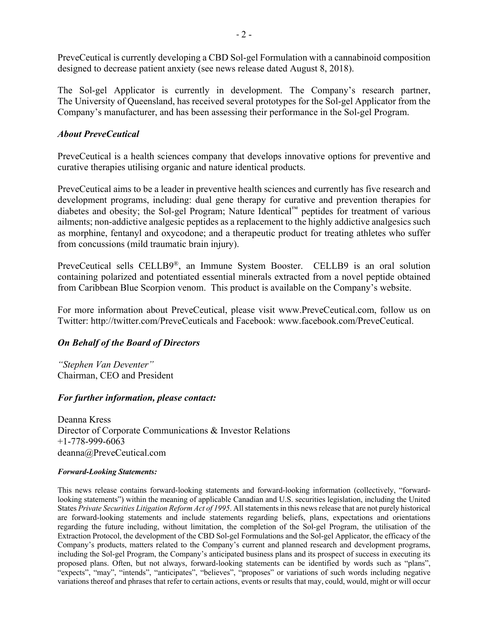PreveCeutical is currently developing a CBD Sol-gel Formulation with a cannabinoid composition designed to decrease patient anxiety (see news release dated August 8, 2018).

The Sol-gel Applicator is currently in development. The Company's research partner, The University of Queensland, has received several prototypes for the Sol-gel Applicator from the Company's manufacturer, and has been assessing their performance in the Sol-gel Program.

### *About PreveCeutical*

PreveCeutical is a health sciences company that develops innovative options for preventive and curative therapies utilising organic and nature identical products.

PreveCeutical aims to be a leader in preventive health sciences and currently has five research and development programs, including: dual gene therapy for curative and prevention therapies for diabetes and obesity; the Sol-gel Program; Nature Identical™ peptides for treatment of various ailments; non-addictive analgesic peptides as a replacement to the highly addictive analgesics such as morphine, fentanyl and oxycodone; and a therapeutic product for treating athletes who suffer from concussions (mild traumatic brain injury).

PreveCeutical sells CELLB9®, an Immune System Booster. CELLB9 is an oral solution containing polarized and potentiated essential minerals extracted from a novel peptide obtained from Caribbean Blue Scorpion venom. This product is available on the Company's website.

For more information about PreveCeutical, please visit www.PreveCeutical.com, follow us on Twitter: http://twitter.com/PreveCeuticals and Facebook: www.facebook.com/PreveCeutical.

# *On Behalf of the Board of Directors*

*"Stephen Van Deventer"* Chairman, CEO and President

### *For further information, please contact:*

Deanna Kress Director of Corporate Communications & Investor Relations +1-778-999-6063 deanna@PreveCeutical.com

#### *Forward-Looking Statements:*

This news release contains forward-looking statements and forward-looking information (collectively, "forwardlooking statements") within the meaning of applicable Canadian and U.S. securities legislation, including the United States *Private Securities Litigation Reform Act of 1995*. All statements in this news release that are not purely historical are forward-looking statements and include statements regarding beliefs, plans, expectations and orientations regarding the future including, without limitation, the completion of the Sol-gel Program, the utilisation of the Extraction Protocol, the development of the CBD Sol-gel Formulations and the Sol-gel Applicator, the efficacy of the Company's products, matters related to the Company's current and planned research and development programs, including the Sol-gel Program, the Company's anticipated business plans and its prospect of success in executing its proposed plans. Often, but not always, forward-looking statements can be identified by words such as "plans", "expects", "may", "intends", "anticipates", "believes", "proposes" or variations of such words including negative variations thereof and phrases that refer to certain actions, events or results that may, could, would, might or will occur